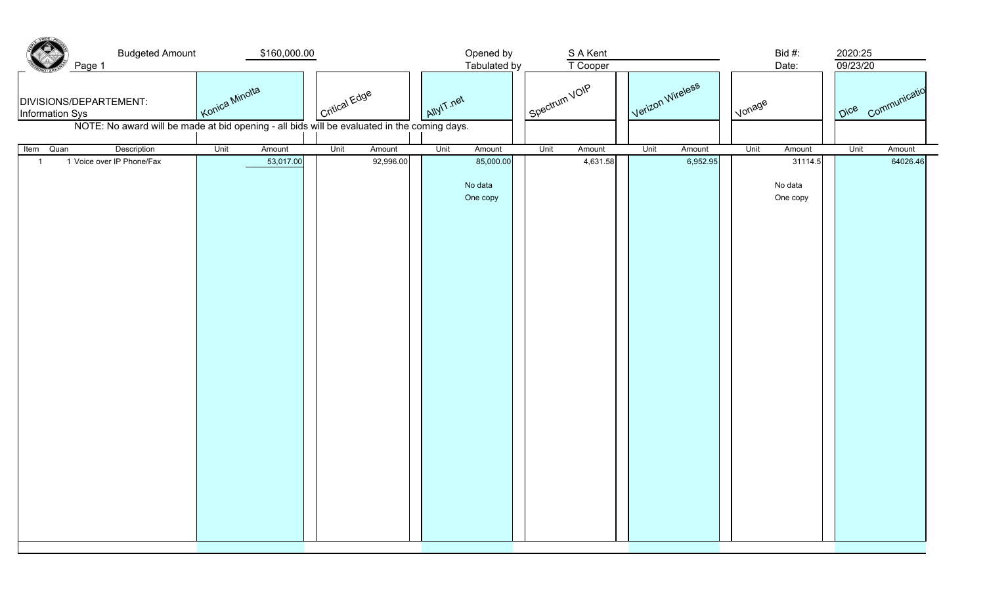| <b>Budgeted Amount</b><br>Page 1<br>DIVISIONS/DEPARTEMENT:<br><b>Information Sys</b>        | \$160,000.00<br>Konica Minolta | Critical Edge  | Opened by<br>Tabulated by<br>AllyIT net | S A Kent<br>T Cooper<br>Spectrum VOIP | Verizon Wireless | Bid #:<br>Date:<br>I vonage    | 2020:25<br>09/23/20<br>Dice <sub>Communicatio</sub> |
|---------------------------------------------------------------------------------------------|--------------------------------|----------------|-----------------------------------------|---------------------------------------|------------------|--------------------------------|-----------------------------------------------------|
| NOTE: No award will be made at bid opening - all bids will be evaluated in the coming days. |                                |                |                                         |                                       |                  |                                |                                                     |
| Description<br>Item<br>Quan                                                                 | Unit<br>Amount                 | Unit<br>Amount | Unit<br>Amount                          | Unit<br>Amount                        | Unit<br>Amount   | Unit<br>Amount                 | Unit<br>Amount                                      |
| 1 Voice over IP Phone/Fax<br>$\overline{1}$                                                 | 53,017.00                      | 92,996.00      | 85,000.00<br>No data<br>One copy        | 4,631.58                              | 6,952.95         | 31114.5<br>No data<br>One copy | 64026.46                                            |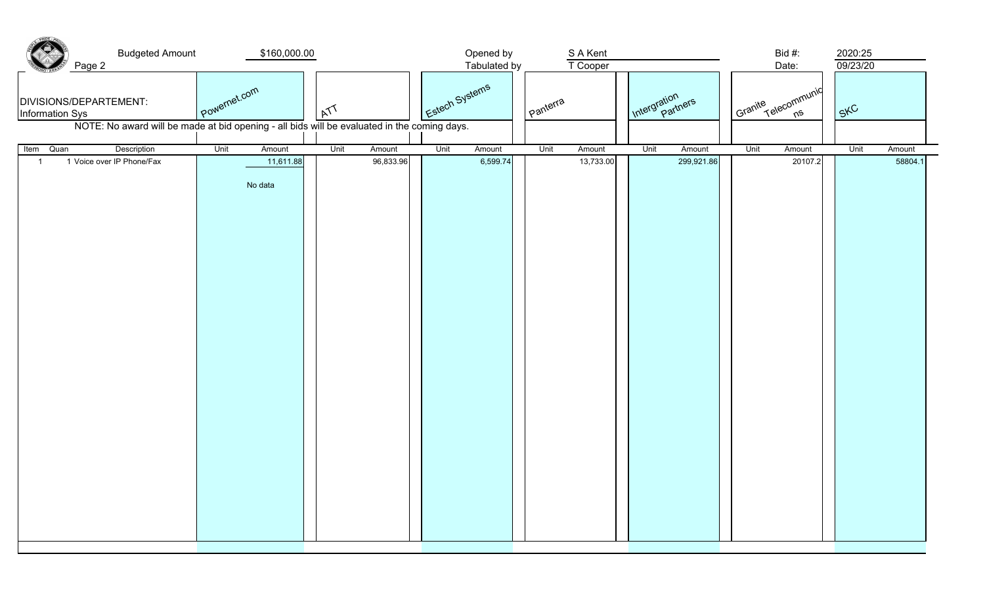| <b>Budgeted Amount</b><br>Page 2<br>DIVISIONS/DEPARTEMENT:<br>Information Sys<br>NOTE: No award will be made at bid opening - all bids will be evaluated in the coming days. | \$160,000.00<br>Powernet.com           | M                           | Estech Systems | Opened by<br>Tabulated by<br>I panterra | S A Kent<br>T Cooper | Intergration                 | Bid #:<br>Date:<br>Granite Telecommunic | 2020:25<br>09/23/20<br>SKC |
|------------------------------------------------------------------------------------------------------------------------------------------------------------------------------|----------------------------------------|-----------------------------|----------------|-----------------------------------------|----------------------|------------------------------|-----------------------------------------|----------------------------|
|                                                                                                                                                                              |                                        |                             |                |                                         |                      |                              |                                         |                            |
| Description<br>Quan<br>Item<br>1 Voice over IP Phone/Fax<br>$\mathbf{1}$                                                                                                     | Unit<br>Amount<br>11,611.88<br>No data | Unit<br>Amount<br>96,833.96 | Unit           | Amount<br>Unit<br>6,599.74              | Amount<br>13,733.00  | Unit<br>Amount<br>299,921.86 | Unit<br>Amount<br>20107.2               | Unit<br>Amount<br>58804.1  |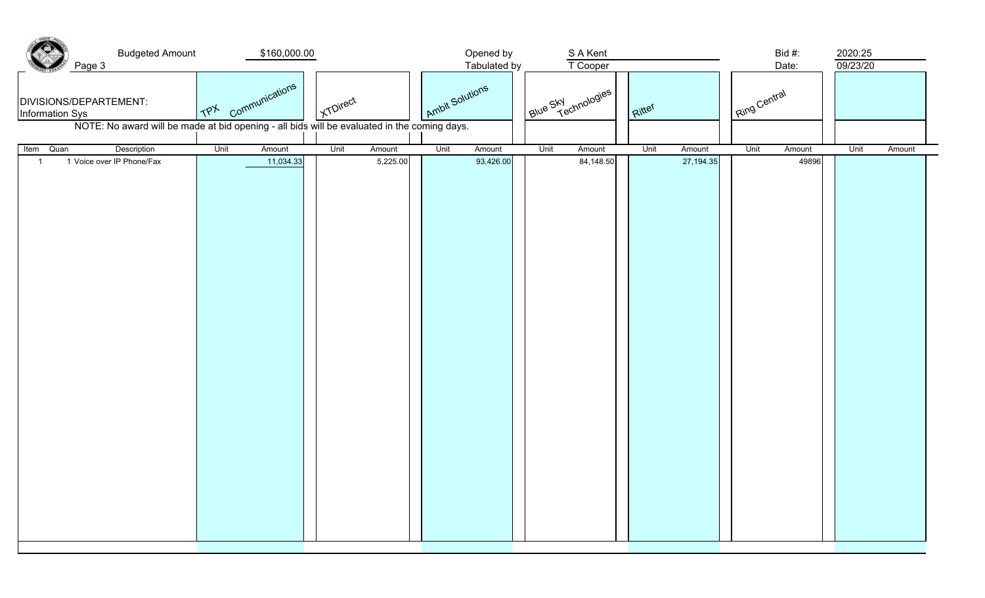| <b>Budgeted Amount</b><br>Page 3<br>DIVISIONS/DEPARTEMENT:<br>Information Sys<br>NOTE: No award will be made at bid opening - all bids will be evaluated in the coming days. | \$160,000.00<br>$\frac{1}{1}$ communications | I KTDirect |                            | Opened by<br>Tabulated by<br>Ambit Solutions | S A Kent<br>T Cooper<br>Blue Sky chnologies | Ritter                        | Bid #:<br>Date:<br>Ring Central | 2020:25<br>09/23/20 |
|------------------------------------------------------------------------------------------------------------------------------------------------------------------------------|----------------------------------------------|------------|----------------------------|----------------------------------------------|---------------------------------------------|-------------------------------|---------------------------------|---------------------|
|                                                                                                                                                                              |                                              |            |                            |                                              |                                             |                               |                                 |                     |
| Item Quan<br>Description<br>1 Voice over IP Phone/Fax                                                                                                                        | Unit<br>Amount<br>11,034.33                  | Unit       | Unit<br>Amount<br>5,225.00 | Amount<br>93,426.00                          | Unit<br>Amount<br>84,148.50                 | Unit<br>Amount<br>27, 194. 35 | Unit<br>Amount<br>49896         | Unit<br>Amount      |